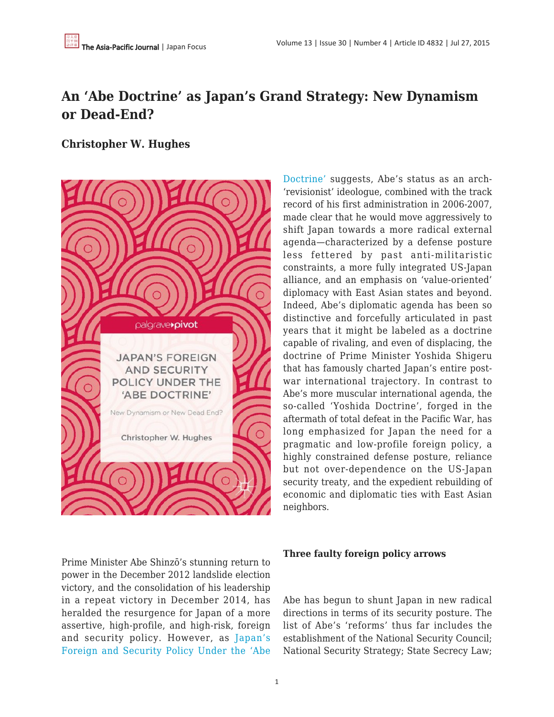# **An 'Abe Doctrine' as Japan's Grand Strategy: New Dynamism or Dead-End?**

## **Christopher W. Hughes**



Prime Minister Abe Shinzō's stunning return to power in the December 2012 landslide election victory, and the consolidation of his leadership in a repeat victory in December 2014, has heralded the resurgence for Japan of a more assertive, high-profile, and high-risk, foreign and security policy. However, as [Japan's](http://www.amazon.com/Japans-Foreign-Security-Policy-Doctrine/dp/1137514248/ref=sr_1_1?ie=UTF8&qid=1436865586&sr=8-1&keywords=hughes+abe+doctrine) [Foreign and Security Policy Under the 'Abe](http://www.amazon.com/Japans-Foreign-Security-Policy-Doctrine/dp/1137514248/ref=sr_1_1?ie=UTF8&qid=1436865586&sr=8-1&keywords=hughes+abe+doctrine) [Doctrine'](http://www.amazon.com/Japans-Foreign-Security-Policy-Doctrine/dp/1137514248/ref=sr_1_1?ie=UTF8&qid=1436865586&sr=8-1&keywords=hughes+abe+doctrine) suggests, Abe's status as an arch- 'revisionist' ideologue, combined with the track record of his first administration in 2006-2007, made clear that he would move aggressively to shift Japan towards a more radical external agenda—characterized by a defense posture less fettered by past anti-militaristic constraints, a more fully integrated US-Japan alliance, and an emphasis on 'value-oriented' diplomacy with East Asian states and beyond. Indeed, Abe's diplomatic agenda has been so distinctive and forcefully articulated in past years that it might be labeled as a doctrine capable of rivaling, and even of displacing, the doctrine of Prime Minister Yoshida Shigeru that has famously charted Japan's entire postwar international trajectory. In contrast to Abe's more muscular international agenda, the so-called 'Yoshida Doctrine', forged in the aftermath of total defeat in the Pacific War, has long emphasized for Japan the need for a pragmatic and low-profile foreign policy, a highly constrained defense posture, reliance but not over-dependence on the US-Japan security treaty, and the expedient rebuilding of economic and diplomatic ties with East Asian neighbors.

## **Three faulty foreign policy arrows**

Abe has begun to shunt Japan in new radical directions in terms of its security posture. The list of Abe's 'reforms' thus far includes the establishment of the National Security Council; National Security Strategy; State Secrecy Law;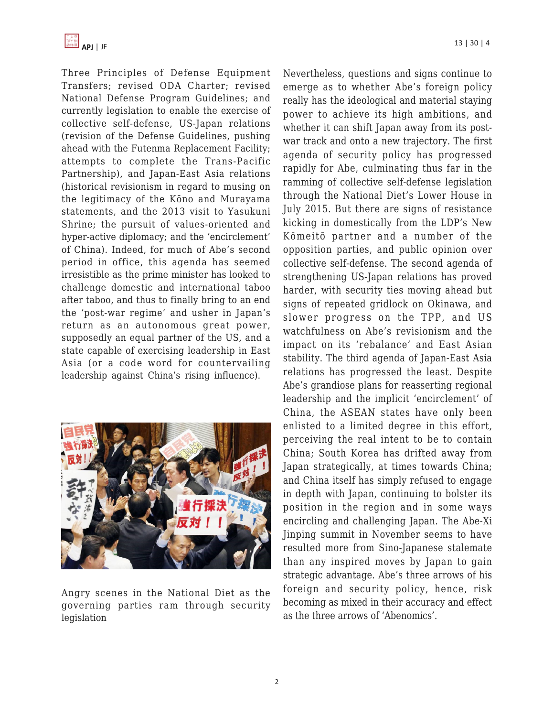Three Principles of Defense Equipment Transfers; revised ODA Charter; revised National Defense Program Guidelines; and currently legislation to enable the exercise of collective self-defense, US-Japan relations (revision of the Defense Guidelines, pushing ahead with the Futenma Replacement Facility; attempts to complete the Trans-Pacific Partnership), and Japan-East Asia relations (historical revisionism in regard to musing on the legitimacy of the Kōno and Murayama statements, and the 2013 visit to Yasukuni Shrine; the pursuit of values-oriented and hyper-active diplomacy; and the 'encirclement' of China). Indeed, for much of Abe's second period in office, this agenda has seemed irresistible as the prime minister has looked to challenge domestic and international taboo after taboo, and thus to finally bring to an end the 'post-war regime' and usher in Japan's return as an autonomous great power, supposedly an equal partner of the US, and a state capable of exercising leadership in East Asia (or a code word for countervailing leadership against China's rising influence).



Angry scenes in the National Diet as the governing parties ram through security legislation

Nevertheless, questions and signs continue to emerge as to whether Abe's foreign policy really has the ideological and material staying power to achieve its high ambitions, and whether it can shift Japan away from its postwar track and onto a new trajectory. The first agenda of security policy has progressed rapidly for Abe, culminating thus far in the ramming of collective self-defense legislation through the National Diet's Lower House in July 2015. But there are signs of resistance kicking in domestically from the LDP's New Kōmeitō partner and a number of the opposition parties, and public opinion over collective self-defense. The second agenda of strengthening US-Japan relations has proved harder, with security ties moving ahead but signs of repeated gridlock on Okinawa, and slower progress on the TPP, and US watchfulness on Abe's revisionism and the impact on its 'rebalance' and East Asian stability. The third agenda of Japan-East Asia relations has progressed the least. Despite Abe's grandiose plans for reasserting regional leadership and the implicit 'encirclement' of China, the ASEAN states have only been enlisted to a limited degree in this effort, perceiving the real intent to be to contain China; South Korea has drifted away from Japan strategically, at times towards China; and China itself has simply refused to engage in depth with Japan, continuing to bolster its position in the region and in some ways encircling and challenging Japan. The Abe-Xi Jinping summit in November seems to have resulted more from Sino-Japanese stalemate than any inspired moves by Japan to gain strategic advantage. Abe's three arrows of his foreign and security policy, hence, risk becoming as mixed in their accuracy and effect as the three arrows of 'Abenomics'.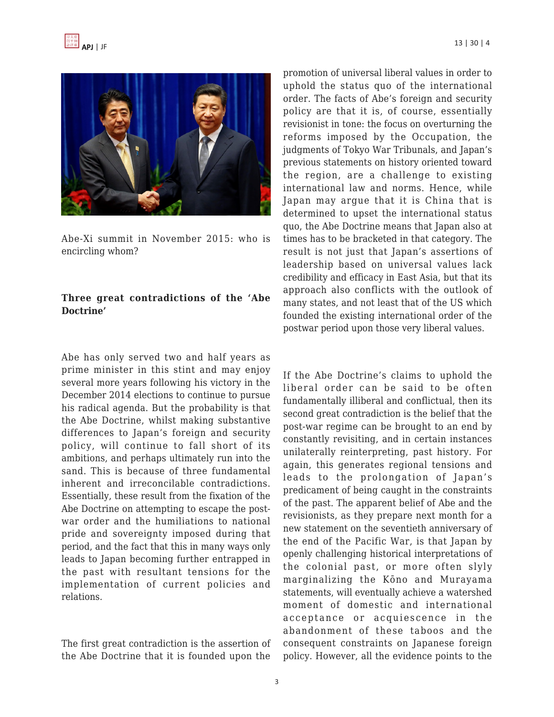



Abe-Xi summit in November 2015: who is encircling whom?

## **Three great contradictions of the 'Abe Doctrine'**

Abe has only served two and half years as prime minister in this stint and may enjoy several more years following his victory in the December 2014 elections to continue to pursue his radical agenda. But the probability is that the Abe Doctrine, whilst making substantive differences to Japan's foreign and security policy, will continue to fall short of its ambitions, and perhaps ultimately run into the sand. This is because of three fundamental inherent and irreconcilable contradictions. Essentially, these result from the fixation of the Abe Doctrine on attempting to escape the postwar order and the humiliations to national pride and sovereignty imposed during that period, and the fact that this in many ways only leads to Japan becoming further entrapped in the past with resultant tensions for the implementation of current policies and relations.

The first great contradiction is the assertion of the Abe Doctrine that it is founded upon the promotion of universal liberal values in order to uphold the status quo of the international order. The facts of Abe's foreign and security policy are that it is, of course, essentially revisionist in tone: the focus on overturning the reforms imposed by the Occupation, the judgments of Tokyo War Tribunals, and Japan's previous statements on history oriented toward the region, are a challenge to existing international law and norms. Hence, while Japan may argue that it is China that is determined to upset the international status quo, the Abe Doctrine means that Japan also at times has to be bracketed in that category. The result is not just that Japan's assertions of leadership based on universal values lack credibility and efficacy in East Asia, but that its approach also conflicts with the outlook of many states, and not least that of the US which founded the existing international order of the postwar period upon those very liberal values.

If the Abe Doctrine's claims to uphold the liberal order can be said to be often fundamentally illiberal and conflictual, then its second great contradiction is the belief that the post-war regime can be brought to an end by constantly revisiting, and in certain instances unilaterally reinterpreting, past history. For again, this generates regional tensions and leads to the prolongation of Japan's predicament of being caught in the constraints of the past. The apparent belief of Abe and the revisionists, as they prepare next month for a new statement on the seventieth anniversary of the end of the Pacific War, is that Japan by openly challenging historical interpretations of the colonial past, or more often slyly marginalizing the Kōno and Murayama statements, will eventually achieve a watershed moment of domestic and international acceptance or acquiescence in the abandonment of these taboos and the consequent constraints on Japanese foreign policy. However, all the evidence points to the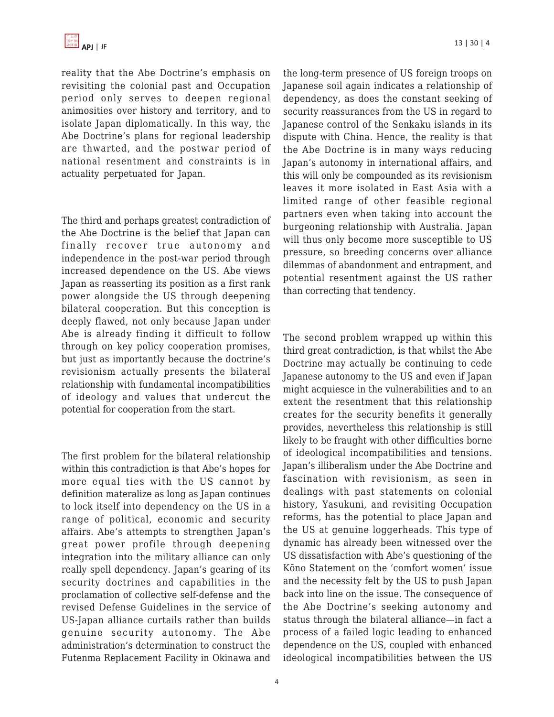reality that the Abe Doctrine's emphasis on revisiting the colonial past and Occupation period only serves to deepen regional animosities over history and territory, and to isolate Japan diplomatically. In this way, the Abe Doctrine's plans for regional leadership are thwarted, and the postwar period of national resentment and constraints is in actuality perpetuated for Japan.

The third and perhaps greatest contradiction of the Abe Doctrine is the belief that Japan can finally recover true autonomy and independence in the post-war period through increased dependence on the US. Abe views Japan as reasserting its position as a first rank power alongside the US through deepening bilateral cooperation. But this conception is deeply flawed, not only because Japan under Abe is already finding it difficult to follow through on key policy cooperation promises, but just as importantly because the doctrine's revisionism actually presents the bilateral relationship with fundamental incompatibilities of ideology and values that undercut the potential for cooperation from the start.

The first problem for the bilateral relationship within this contradiction is that Abe's hopes for more equal ties with the US cannot by definition materalize as long as Japan continues to lock itself into dependency on the US in a range of political, economic and security affairs. Abe's attempts to strengthen Japan's great power profile through deepening integration into the military alliance can only really spell dependency. Japan's gearing of its security doctrines and capabilities in the proclamation of collective self-defense and the revised Defense Guidelines in the service of US-Japan alliance curtails rather than builds genuine security autonomy. The Abe administration's determination to construct the Futenma Replacement Facility in Okinawa and the long-term presence of US foreign troops on Japanese soil again indicates a relationship of dependency, as does the constant seeking of security reassurances from the US in regard to Japanese control of the Senkaku islands in its dispute with China. Hence, the reality is that the Abe Doctrine is in many ways reducing Japan's autonomy in international affairs, and this will only be compounded as its revisionism leaves it more isolated in East Asia with a limited range of other feasible regional partners even when taking into account the burgeoning relationship with Australia. Japan will thus only become more susceptible to US pressure, so breeding concerns over alliance dilemmas of abandonment and entrapment, and potential resentment against the US rather than correcting that tendency.

The second problem wrapped up within this third great contradiction, is that whilst the Abe Doctrine may actually be continuing to cede Japanese autonomy to the US and even if Japan might acquiesce in the vulnerabilities and to an extent the resentment that this relationship creates for the security benefits it generally provides, nevertheless this relationship is still likely to be fraught with other difficulties borne of ideological incompatibilities and tensions. Japan's illiberalism under the Abe Doctrine and fascination with revisionism, as seen in dealings with past statements on colonial history, Yasukuni, and revisiting Occupation reforms, has the potential to place Japan and the US at genuine loggerheads. This type of dynamic has already been witnessed over the US dissatisfaction with Abe's questioning of the Kōno Statement on the 'comfort women' issue and the necessity felt by the US to push Japan back into line on the issue. The consequence of the Abe Doctrine's seeking autonomy and status through the bilateral alliance—in fact a process of a failed logic leading to enhanced dependence on the US, coupled with enhanced ideological incompatibilities between the US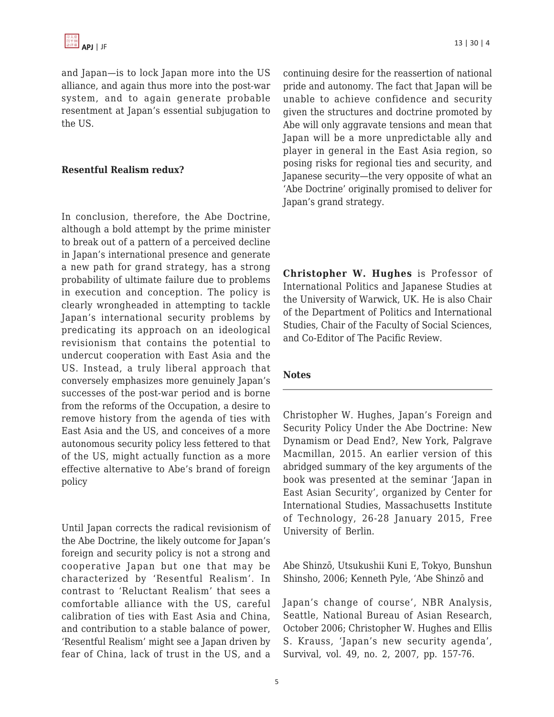and Japan—is to lock Japan more into the US alliance, and again thus more into the post-war system, and to again generate probable resentment at Japan's essential subjugation to the US.

## **Resentful Realism redux?**

In conclusion, therefore, the Abe Doctrine, although a bold attempt by the prime minister to break out of a pattern of a perceived decline in Japan's international presence and generate a new path for grand strategy, has a strong probability of ultimate failure due to problems in execution and conception. The policy is clearly wrongheaded in attempting to tackle Japan's international security problems by predicating its approach on an ideological revisionism that contains the potential to undercut cooperation with East Asia and the US. Instead, a truly liberal approach that conversely emphasizes more genuinely Japan's successes of the post-war period and is borne from the reforms of the Occupation, a desire to remove history from the agenda of ties with East Asia and the US, and conceives of a more autonomous security policy less fettered to that of the US, might actually function as a more effective alternative to Abe's brand of foreign policy

Until Japan corrects the radical revisionism of the Abe Doctrine, the likely outcome for Japan's foreign and security policy is not a strong and cooperative Japan but one that may be characterized by 'Resentful Realism'. In contrast to 'Reluctant Realism' that sees a comfortable alliance with the US, careful calibration of ties with East Asia and China, and contribution to a stable balance of power, 'Resentful Realism' might see a Japan driven by fear of China, lack of trust in the US, and a

continuing desire for the reassertion of national pride and autonomy. The fact that Japan will be unable to achieve confidence and security given the structures and doctrine promoted by Abe will only aggravate tensions and mean that Japan will be a more unpredictable ally and player in general in the East Asia region, so posing risks for regional ties and security, and Japanese security—the very opposite of what an 'Abe Doctrine' originally promised to deliver for Japan's grand strategy.

**Christopher W. Hughes** is Professor of International Politics and Japanese Studies at the University of Warwick, UK. He is also Chair of the Department of Politics and International Studies, Chair of the Faculty of Social Sciences, and Co-Editor of The Pacific Review.

#### **Notes**

Christopher W. Hughes, Japan's Foreign and Security Policy Under the Abe Doctrine: New Dynamism or Dead End?, New York, Palgrave Macmillan, 2015. An earlier version of this abridged summary of the key arguments of the book was presented at the seminar 'Japan in East Asian Security', organized by Center for International Studies, Massachusetts Institute of Technology, 26-28 January 2015, Free University of Berlin.

Abe Shinzō, Utsukushii Kuni E, Tokyo, Bunshun Shinsho, 2006; Kenneth Pyle, 'Abe Shinzō and

Japan's change of course', NBR Analysis, Seattle, National Bureau of Asian Research, October 2006; Christopher W. Hughes and Ellis S. Krauss, 'Japan's new security agenda', Survival, vol. 49, no. 2, 2007, pp. 157-76.